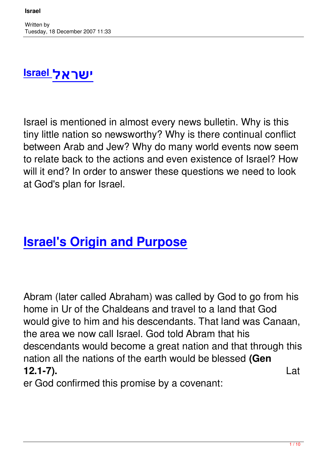## **ישראל Israel**

Israel is mentioned in almost every news bulletin. Why is this tiny little nation so newsworthy? Why is there continual conflict between Arab and Jew? Why do many world events now seem to relate back to the actions and even existence of Israel? How will it end? In order to answer these questions we need to look at God's plan for Israel.

## **Israel's Origin and Purpose**

Abram (later called Abraham) was called by God to go from his home in Ur of the Chaldeans and travel to a land that God would give to him and his descendants. That land was Canaan, the area we now call Israel. God told Abram that his descendants would become a great nation and that through this nation all the nations of the earth would be blessed **(Gen 12.1-7).** Lat

er God confirmed this promise by a covenant: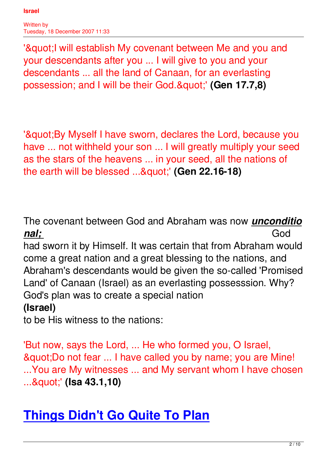Written by Tuesday, 18 December 2007 11:33

'"I will establish My covenant between Me and you and your descendants after you ... I will give to you and your descendants ... all the land of Canaan, for an everlasting possession; and I will be their God. & quot;' (Gen 17.7,8)

'& auot: By Myself I have sworn, declares the Lord, because you have ... not withheld your son ... I will greatly multiply your seed as the stars of the heavens ... in your seed, all the nations of the earth will be blessed ..."' (Gen 22.16-18)

The covenant between God and Abraham was now *unconditio nal;* God

had sworn it by Himself. It was certain that from Abraham would come a great nation and a great blessing to the nations, and Abraham's descendants would be given the so-called 'Promised Land' of Canaan (Israel) as an everlasting possesssion. Why? God's plan was to create a special nation **(Israel)**

to be His witness to the nations:

'But now, says the Lord, ... He who formed you, O Israel, & quot; Do not fear ... I have called you by name; you are Mine! ...You are My witnesses ... and My servant whom I have chosen ..."' (**Isa 43.1,10**)

## **Things Didn't Go Quite To Plan**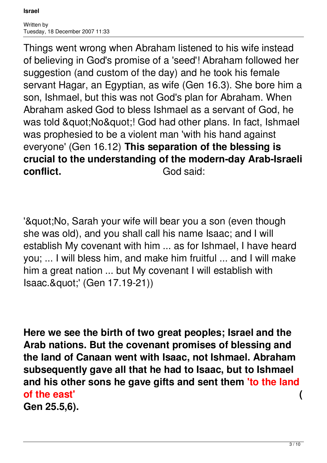Things went wrong when Abraham listened to his wife instead of believing in God's promise of a 'seed'! Abraham followed her suggestion (and custom of the day) and he took his female servant Hagar, an Egyptian, as wife (Gen 16.3). She bore him a son, Ishmael, but this was not God's plan for Abraham. When Abraham asked God to bless Ishmael as a servant of God, he was told " No"! God had other plans. In fact, Ishmael was prophesied to be a violent man 'with his hand against everyone' (Gen 16.12) **This separation of the blessing is crucial to the understanding of the modern-day Arab-Israeli conflict** God said:

'" No, Sarah your wife will bear you a son (even though she was old), and you shall call his name Isaac; and I will establish My covenant with him ... as for Ishmael, I have heard you; ... I will bless him, and make him fruitful ... and I will make him a great nation ... but My covenant I will establish with Isaac."' (Gen 17.19-21))

**Here we see the birth of two great peoples; Israel and the Arab nations. But the covenant promises of blessing and the land of Canaan went with Isaac, not Ishmael. Abraham subsequently gave all that he had to Isaac, but to Ishmael and his other sons he gave gifts and sent them 'to the land of the east' ( Gen 25.5,6).**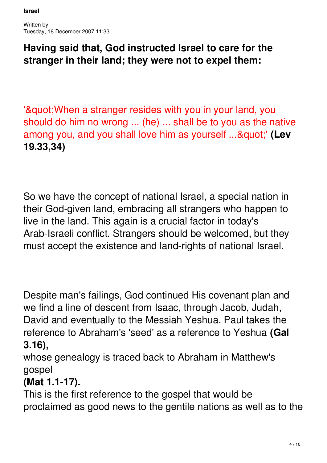### **Having said that, God instructed Israel to care for the stranger in their land; they were not to expel them:**

'& guot; When a stranger resides with you in your land, you should do him no wrong ... (he) ... shall be to you as the native among you, and you shall love him as yourself ..."' (Lev **19.33,34)**

So we have the concept of national Israel, a special nation in their God-given land, embracing all strangers who happen to live in the land. This again is a crucial factor in today's Arab-Israeli conflict. Strangers should be welcomed, but they must accept the existence and land-rights of national Israel.

Despite man's failings, God continued His covenant plan and we find a line of descent from Isaac, through Jacob, Judah, David and eventually to the Messiah Yeshua. Paul takes the reference to Abraham's 'seed' as a reference to Yeshua **(Gal 3.16),** 

whose genealogy is traced back to Abraham in Matthew's gospel

### **(Mat 1.1-17).**

This is the first reference to the gospel that would be proclaimed as good news to the gentile nations as well as to the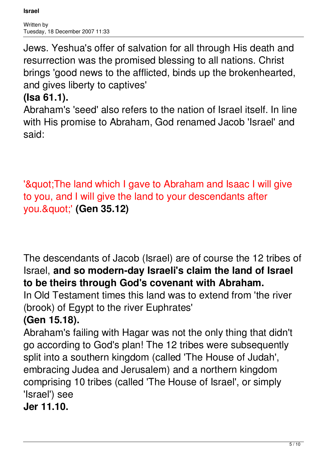Jews. Yeshua's offer of salvation for all through His death and resurrection was the promised blessing to all nations. Christ brings 'good news to the afflicted, binds up the brokenhearted, and gives liberty to captives'

### **(Isa 61.1).**

Abraham's 'seed' also refers to the nation of Israel itself. In line with His promise to Abraham, God renamed Jacob 'Israel' and said:

'& guot; The land which I gave to Abraham and Isaac I will give to you, and I will give the land to your descendants after you. & quot;' (Gen 35.12)

The descendants of Jacob (Israel) are of course the 12 tribes of Israel, **and so modern-day Israeli's claim the land of Israel to be theirs through God's covenant with Abraham.**

In Old Testament times this land was to extend from 'the river (brook) of Egypt to the river Euphrates'

### **(Gen 15.18).**

Abraham's failing with Hagar was not the only thing that didn't go according to God's plan! The 12 tribes were subsequently split into a southern kingdom (called 'The House of Judah', embracing Judea and Jerusalem) and a northern kingdom comprising 10 tribes (called 'The House of Israel', or simply 'Israel') see

**Jer 11.10.**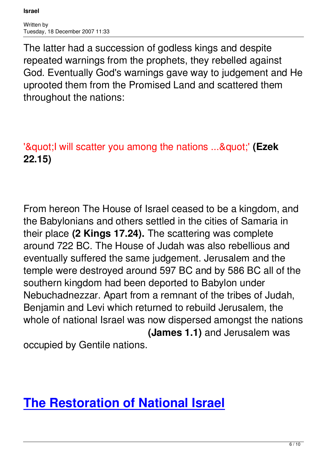Written by Tuesday, 18 December 2007 11:33

The latter had a succession of godless kings and despite repeated warnings from the prophets, they rebelled against God. Eventually God's warnings gave way to judgement and He uprooted them from the Promised Land and scattered them throughout the nations:

'"I will scatter you among the nations ..."' (Ezek **22.15)**

From hereon The House of Israel ceased to be a kingdom, and the Babylonians and others settled in the cities of Samaria in their place **(2 Kings 17.24).** The scattering was complete around 722 BC. The House of Judah was also rebellious and eventually suffered the same judgement. Jerusalem and the temple were destroyed around 597 BC and by 586 BC all of the southern kingdom had been deported to Babylon under Nebuchadnezzar. Apart from a remnant of the tribes of Judah, Benjamin and Levi which returned to rebuild Jerusalem, the whole of national Israel was now dispersed amongst the nations **(James 1.1)** and Jerusalem was occupied by Gentile nations.

# **The Restoration of National Israel**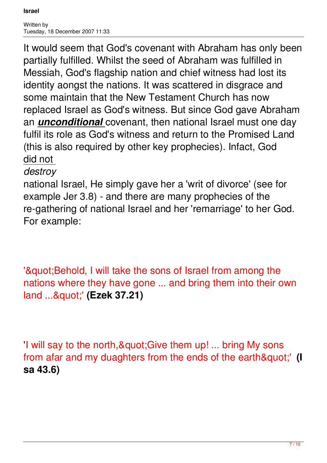It would seem that God's covenant with Abraham has only been partially fulfilled. Whilst the seed of Abraham was fulfilled in Messiah, God's flagship nation and chief witness had lost its identity aongst the nations. It was scattered in disgrace and some maintain that the New Testament Church has now replaced Israel as God's witness. But since God gave Abraham an *unconditional* covenant, then national Israel must one day fulfil its role as God's witness and return to the Promised Land (this is also required by other key prophecies). Infact, God did not

#### *destroy*

national Israel, He simply gave her a 'writ of divorce' (see for example Jer 3.8) - and there are many prophecies of the re-gathering of national Israel and her 'remarriage' to her God. For example:

'" Behold, I will take the sons of Israel from among the nations where they have gone ... and bring them into their own land ..."' (Ezek 37.21)

'I will say to the north, & quot; Give them up! ... bring My sons from afar and my duaghters from the ends of the earth"' (I **sa 43.6)**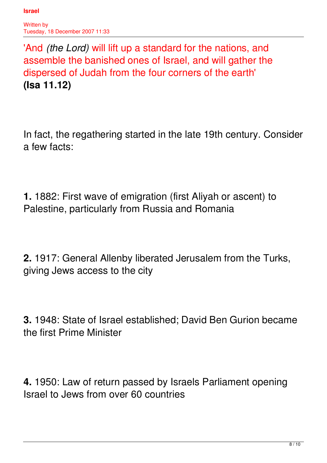Written by Tuesday, 18 December 2007 11:33

'And *(the Lord)* will lift up a standard for the nations, and assemble the banished ones of Israel, and will gather the dispersed of Judah from the four corners of the earth' **(Isa 11.12)**

In fact, the regathering started in the late 19th century. Consider a few facts:

**1.** 1882: First wave of emigration (first Aliyah or ascent) to Palestine, particularly from Russia and Romania

**2.** 1917: General Allenby liberated Jerusalem from the Turks, giving Jews access to the city

**3.** 1948: State of Israel established; David Ben Gurion became the first Prime Minister

**4.** 1950: Law of return passed by Israels Parliament opening Israel to Jews from over 60 countries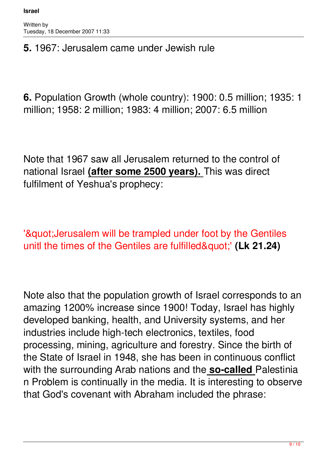#### **5.** 1967: Jerusalem came under Jewish rule

**6.** Population Growth (whole country): 1900: 0.5 million; 1935: 1 million; 1958: 2 million; 1983: 4 million; 2007: 6.5 million

Note that 1967 saw all Jerusalem returned to the control of national Israel **(after some 2500 years).** This was direct fulfilment of Yeshua's prophecy:

'& guot; Jerusalem will be trampled under foot by the Gentiles unitl the times of the Gentiles are fulfilled"' (Lk 21.24)

Note also that the population growth of Israel corresponds to an amazing 1200% increase since 1900! Today, Israel has highly developed banking, health, and University systems, and her industries include high-tech electronics, textiles, food processing, mining, agriculture and forestry. Since the birth of the State of Israel in 1948, she has been in continuous conflict with the surrounding Arab nations and the **so-called** Palestinia n Problem is continually in the media. It is interesting to observe that God's covenant with Abraham included the phrase: